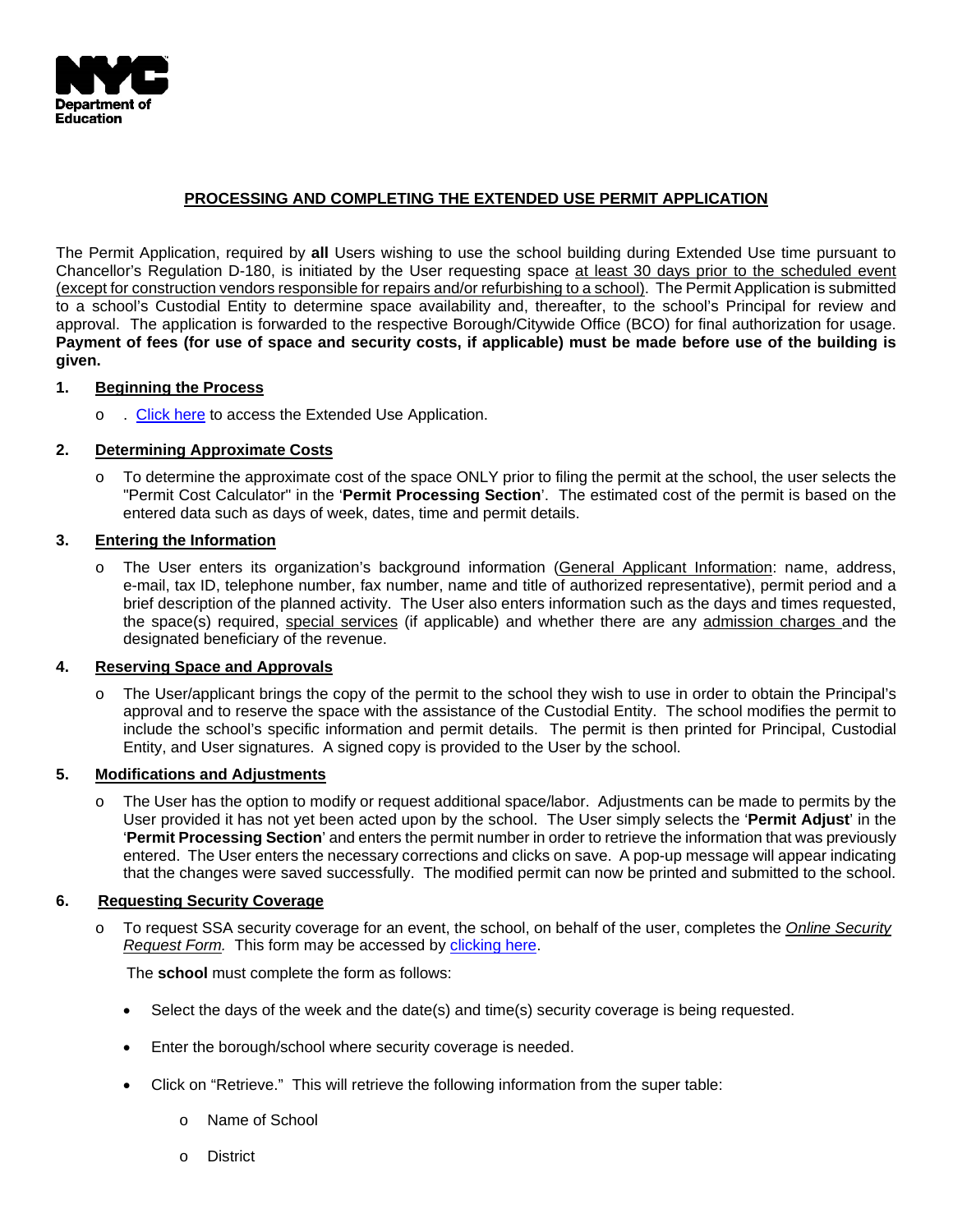

# **PROCESSING AND COMPLETING THE EXTENDED USE PERMIT APPLICATION**

The Permit Application, required by **all** Users wishing to use the school building during Extended Use time pursuant to Chancellor's Regulation D-180, is initiated by the User requesting space at least 30 days prior to the scheduled event (except for construction vendors responsible for repairs and/or refurbishing to a school). The Permit Application is submitted to a school's Custodial Entity to determine space availability and, thereafter, to the school's Principal for review and approval. The application is forwarded to the respective Borough/Citywide Office (BCO) for final authorization for usage. **Payment of fees (for use of space and security costs, if applicable) must be made before use of the building is given.**

## **1. Beginning the Process**

o . [Click here](https://infohub.nyced.org/docs/default-source/default-document-library/extended-use-audit.pdf) to access the Extended Use Application.

## **2. Determining Approximate Costs**

o To determine the approximate cost of the space ONLY prior to filing the permit at the school, the user selects the "Permit Cost Calculator" in the '**Permit Processing Section**'. The estimated cost of the permit is based on the entered data such as days of week, dates, time and permit details.

## **3. Entering the Information**

o The User enters its organization's background information (General Applicant Information: name, address, e-mail, tax ID, telephone number, fax number, name and title of authorized representative), permit period and a brief description of the planned activity. The User also enters information such as the days and times requested, the space(s) required, special services (if applicable) and whether there are any admission charges and the designated beneficiary of the revenue.

### **4. Reserving Space and Approvals**

o The User/applicant brings the copy of the permit to the school they wish to use in order to obtain the Principal's approval and to reserve the space with the assistance of the Custodial Entity. The school modifies the permit to include the school's specific information and permit details. The permit is then printed for Principal, Custodial Entity, and User signatures. A signed copy is provided to the User by the school.

## **5. Modifications and Adjustments**

o The User has the option to modify or request additional space/labor. Adjustments can be made to permits by the User provided it has not yet been acted upon by the school. The User simply selects the '**Permit Adjust**' in the '**Permit Processing Section**' and enters the permit number in order to retrieve the information that was previously entered. The User enters the necessary corrections and clicks on save. A pop-up message will appear indicating that the changes were saved successfully. The modified permit can now be printed and submitted to the school.

### **6. Requesting Security Coverage**

o To request SSA security coverage for an event, the school, on behalf of the user, completes the *Online Security Request Form.* This form may be accessed by [clicking here.](https://finance360.org/standalone/cps/Login.aspx?login=)

The **school** must complete the form as follows:

- Select the days of the week and the date(s) and time(s) security coverage is being requested.
- Enter the borough/school where security coverage is needed.
- Click on "Retrieve." This will retrieve the following information from the super table:
	- o Name of School
	- o District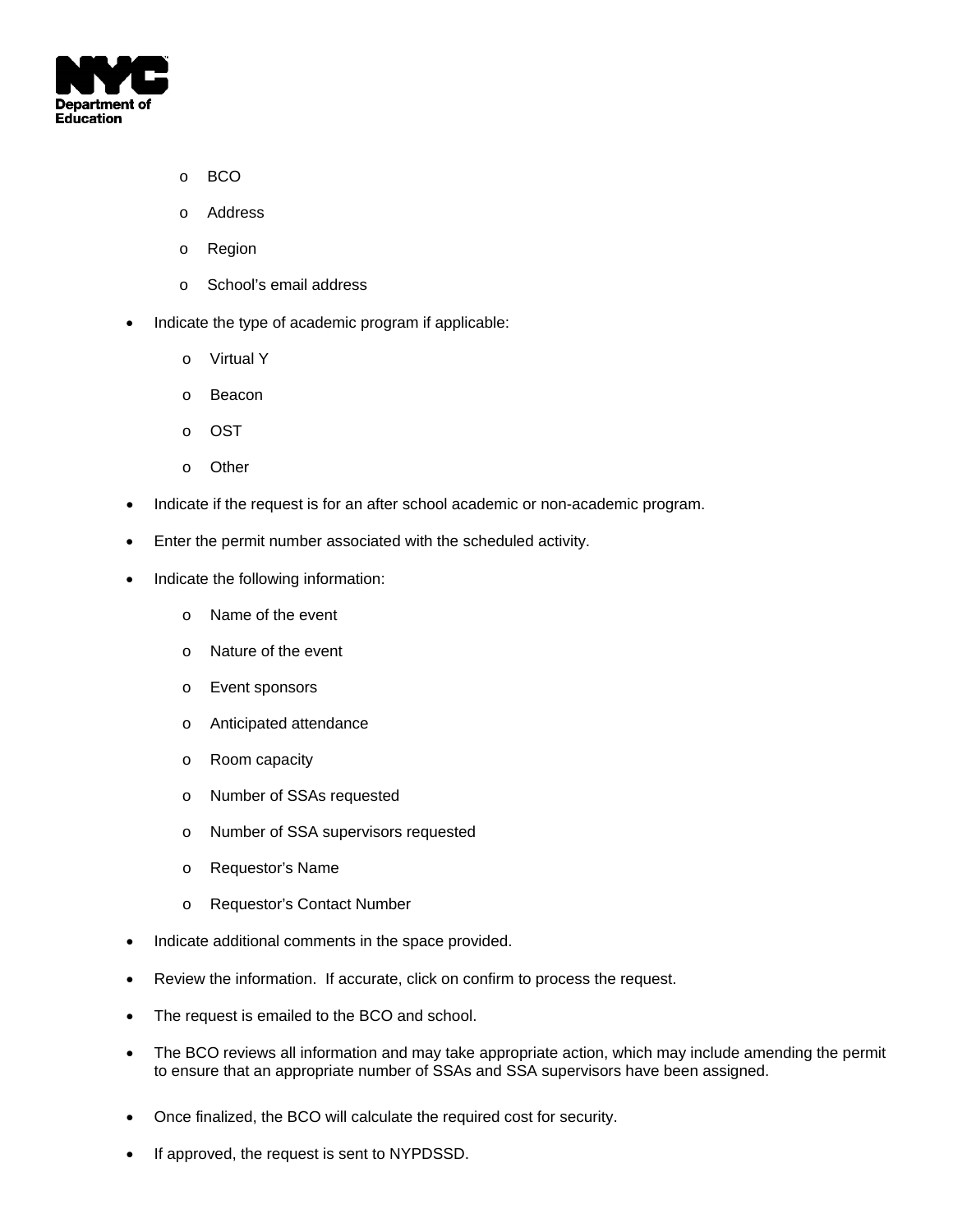

- o BCO
- o Address
- o Region
- o School's email address
- Indicate the type of academic program if applicable:
	- o Virtual Y
	- o Beacon
	- o OST
	- o Other
- Indicate if the request is for an after school academic or non-academic program.
- Enter the permit number associated with the scheduled activity.
- Indicate the following information:
	- o Name of the event
	- o Nature of the event
	- o Event sponsors
	- o Anticipated attendance
	- o Room capacity
	- o Number of SSAs requested
	- o Number of SSA supervisors requested
	- o Requestor's Name
	- o Requestor's Contact Number
- Indicate additional comments in the space provided.
- Review the information. If accurate, click on confirm to process the request.
- The request is emailed to the BCO and school.
- The BCO reviews all information and may take appropriate action, which may include amending the permit to ensure that an appropriate number of SSAs and SSA supervisors have been assigned.
- Once finalized, the BCO will calculate the required cost for security.
- If approved, the request is sent to NYPDSSD.